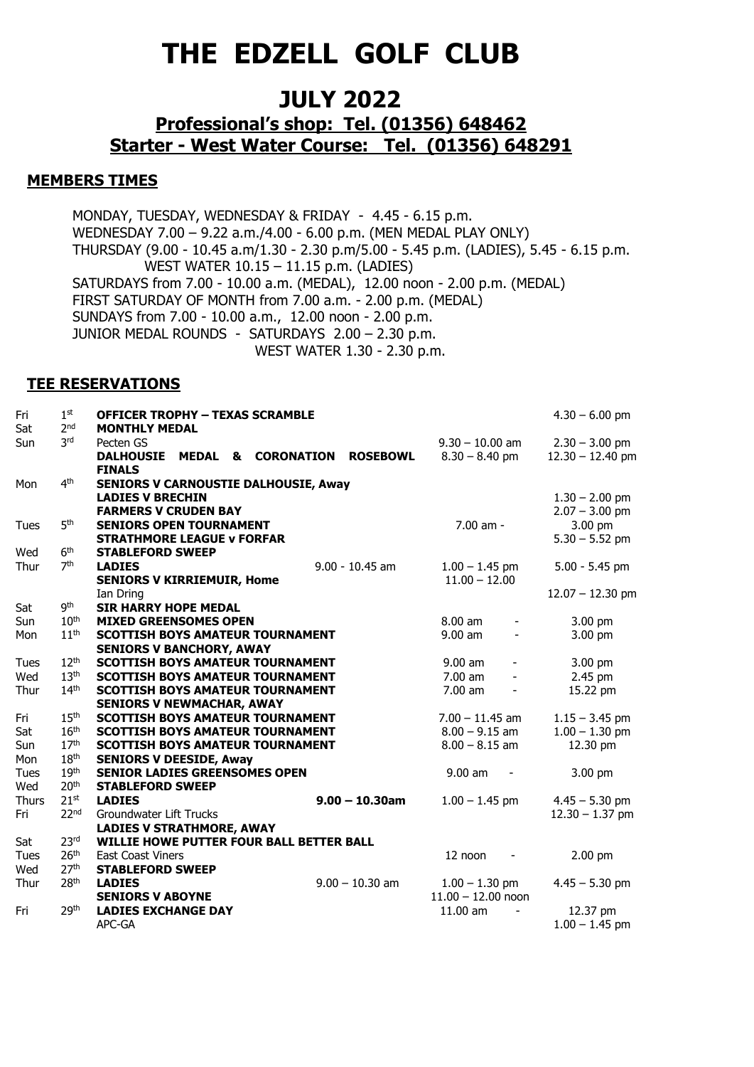# **THE EDZELL GOLF CLUB**

## **JULY 2022**

### **Professional's shop: Tel. (01356) 648462 Starter - West Water Course: Tel. (01356) 648291**

#### **MEMBERS TIMES**

MONDAY, TUESDAY, WEDNESDAY & FRIDAY - 4.45 - 6.15 p.m. WEDNESDAY 7.00 – 9.22 a.m./4.00 - 6.00 p.m. (MEN MEDAL PLAY ONLY) THURSDAY (9.00 - 10.45 a.m/1.30 - 2.30 p.m/5.00 - 5.45 p.m. (LADIES), 5.45 - 6.15 p.m. WEST WATER 10.15 – 11.15 p.m. (LADIES) SATURDAYS from 7.00 - 10.00 a.m. (MEDAL), 12.00 noon - 2.00 p.m. (MEDAL) FIRST SATURDAY OF MONTH from 7.00 a.m. - 2.00 p.m. (MEDAL) SUNDAYS from 7.00 - 10.00 a.m., 12.00 noon - 2.00 p.m. JUNIOR MEDAL ROUNDS - SATURDAYS 2.00 – 2.30 p.m. WEST WATER 1.30 - 2.30 p.m.

#### **TEE RESERVATIONS**

| Fri          | 1 <sup>st</sup>                    | <b>OFFICER TROPHY - TEXAS SCRAMBLE</b>                                         |                                         | $4.30 - 6.00$ pm   |
|--------------|------------------------------------|--------------------------------------------------------------------------------|-----------------------------------------|--------------------|
| Sat          | 2 <sub>nd</sub>                    | <b>MONTHLY MEDAL</b>                                                           |                                         |                    |
| Sun          | <b>3rd</b>                         | Pecten GS                                                                      | $9.30 - 10.00$ am                       | $2.30 - 3.00$ pm   |
|              |                                    | <b>&amp; CORONATION</b><br><b>ROSEBOWL</b><br><b>DALHOUSIE</b><br><b>MEDAL</b> | $8.30 - 8.40$ pm                        | $12.30 - 12.40$ pm |
|              |                                    | <b>FINALS</b>                                                                  |                                         |                    |
| Mon          | 4 <sup>th</sup>                    | <b>SENIORS V CARNOUSTIE DALHOUSIE, Away</b>                                    |                                         |                    |
|              |                                    | <b>LADIES V BRECHIN</b>                                                        |                                         | $1.30 - 2.00$ pm   |
|              |                                    | <b>FARMERS V CRUDEN BAY</b>                                                    |                                         | $2.07 - 3.00$ pm   |
| Tues         | 5 <sup>th</sup>                    | <b>SENIORS OPEN TOURNAMENT</b>                                                 | 7.00 am -                               | 3.00 pm            |
|              |                                    | <b>STRATHMORE LEAGUE v FORFAR</b>                                              |                                         | $5.30 - 5.52$ pm   |
| Wed          | 6 <sup>th</sup><br>7 <sup>th</sup> | <b>STABLEFORD SWEEP</b><br>$9.00 - 10.45$ am                                   |                                         |                    |
| Thur         |                                    | <b>LADIES</b>                                                                  | $1.00 - 1.45$ pm<br>$11.00 - 12.00$     | $5.00 - 5.45$ pm   |
|              |                                    | <b>SENIORS V KIRRIEMUIR, Home</b><br>Ian Dring                                 |                                         | $12.07 - 12.30$ pm |
| Sat          | <b>g</b> th                        | <b>SIR HARRY HOPE MEDAL</b>                                                    |                                         |                    |
| Sun          | $10^{\text{th}}$                   | <b>MIXED GREENSOMES OPEN</b>                                                   | $8.00$ am<br>$\overline{\phantom{a}}$   | 3.00 pm            |
| Mon          | $11^{\text{th}}$                   | <b>SCOTTISH BOYS AMATEUR TOURNAMENT</b>                                        | $9.00$ am<br>$\overline{\phantom{a}}$   | 3.00 pm            |
|              |                                    | <b>SENIORS V BANCHORY, AWAY</b>                                                |                                         |                    |
| Tues         | 12 <sup>th</sup>                   | <b>SCOTTISH BOYS AMATEUR TOURNAMENT</b>                                        | $9.00$ am<br>$\overline{\phantom{a}}$   | 3.00 pm            |
| Wed          | 13 <sup>th</sup>                   | <b>SCOTTISH BOYS AMATEUR TOURNAMENT</b>                                        | 7.00 am<br>$\overline{\phantom{a}}$     | 2.45 pm            |
| Thur         | 14 <sup>th</sup>                   | <b>SCOTTISH BOYS AMATEUR TOURNAMENT</b>                                        | 7.00 am<br>$\qquad \qquad \blacksquare$ | 15.22 pm           |
|              |                                    | <b>SENIORS V NEWMACHAR, AWAY</b>                                               |                                         |                    |
| Fri          | 15 <sup>th</sup>                   | <b>SCOTTISH BOYS AMATEUR TOURNAMENT</b>                                        | $7.00 - 11.45$ am                       | $1.15 - 3.45$ pm   |
| Sat          | 16 <sup>th</sup>                   | <b>SCOTTISH BOYS AMATEUR TOURNAMENT</b>                                        | $8.00 - 9.15$ am                        | $1.00 - 1.30$ pm   |
| Sun          | 17 <sup>th</sup>                   | <b>SCOTTISH BOYS AMATEUR TOURNAMENT</b>                                        | $8.00 - 8.15$ am                        | 12.30 pm           |
| Mon          | 18 <sup>th</sup>                   | <b>SENIORS V DEESIDE, Away</b>                                                 |                                         |                    |
| Tues         | 19 <sup>th</sup>                   | <b>SENIOR LADIES GREENSOMES OPEN</b>                                           | $9.00$ am                               | 3.00 pm            |
| Wed          | 20 <sup>th</sup>                   | <b>STABLEFORD SWEEP</b>                                                        |                                         |                    |
| <b>Thurs</b> | 21 <sup>st</sup>                   | $9.00 - 10.30$ am<br><b>LADIES</b>                                             | $1.00 - 1.45$ pm                        | $4.45 - 5.30$ pm   |
| Fri          | 22 <sup>nd</sup>                   | Groundwater Lift Trucks                                                        |                                         | $12.30 - 1.37$ pm  |
|              |                                    | <b>LADIES V STRATHMORE, AWAY</b>                                               |                                         |                    |
| Sat          | 23 <sup>rd</sup>                   | WILLIE HOWE PUTTER FOUR BALL BETTER BALL                                       |                                         |                    |
| <b>Tues</b>  | 26 <sup>th</sup>                   | <b>East Coast Viners</b>                                                       | 12 noon                                 | 2.00 pm            |
| Wed          | 27 <sup>th</sup>                   | <b>STABLEFORD SWEEP</b>                                                        |                                         |                    |
| Thur         | 28 <sup>th</sup>                   | $9.00 - 10.30$ am<br><b>LADIES</b>                                             | $1.00 - 1.30$ pm                        | $4.45 - 5.30$ pm   |
|              |                                    | <b>SENIORS V ABOYNE</b>                                                        | $11.00 - 12.00$ noon                    |                    |
| Fri          | 29th                               | <b>LADIES EXCHANGE DAY</b>                                                     | 11.00 am                                | 12.37 pm           |
|              |                                    | APC-GA                                                                         |                                         | $1.00 - 1.45$ pm   |